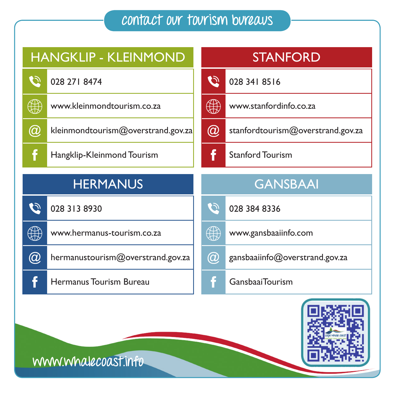## **contact our tourism bureaus**



## **www.whalecoast.info**